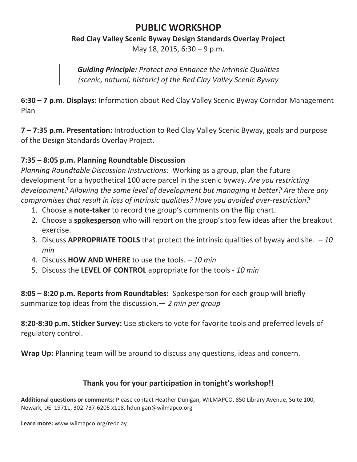#### **PUBLIC WORKSHOP**

#### **Red Clay Valley Scenic Byway Design Standards Overlay Project**

May 18, 2015, 6:30 – 9 p.m.

*Guiding Principle: Protect and Enhance the Intrinsic Qualities (scenic, natural, historic) of the Red Clay Valley Scenic Byway*

**6:30 – 7 p.m. Displays:** Information about Red Clay Valley Scenic Byway Corridor Management Plan

**7 – 7:35 p.m. Presentation:** Introduction to Red Clay Valley Scenic Byway, goals and purpose of the Design Standards Overlay Project.

#### **7:35 – 8:05 p.m. Planning Roundtable Discussion**

*Planning Roundtable Discussion Instructions:* Working as a group, plan the future development for a hypothetical 100 acre parcel in the scenic byway. *Are you restricting development? Allowing the same level of development but managing it better? Are there any compromises that result in loss of intrinsic qualities? Have you avoided overͲrestriction?*

- 1. Choose a **note-taker** to record the group's comments on the flip chart.
- 2. Choose a **spokesperson** who will report on the group's top few ideas after the breakout exercise.
- 3. Discuss **APPROPRIATE TOOLS** that protect the intrinsic qualities of byway and site.– *10 min*
- 4. Discuss **HOW AND WHERE** to use the tools. *10 min*
- 5. Discuss the LEVEL OF CONTROL appropriate for the tools 10 min

**8:05 – 8:20 p.m. Reports from Roundtables:**Spokesperson for each group will briefly summarize top ideas from the discussion.— *2 min per group*

**8:20-8:30 p.m. Sticker Survey:** Use stickers to vote for favorite tools and preferred levels of regulatory control.

**Wrap Up:** Planning team will be around to discuss any questions, ideas and concern.

#### **Thank you for your participation in tonight's workshop!!**

**Additional questions or comments:** Please contact Heather Dunigan, WILMAPCO, 850 Library Avenue, Suite 100, Newark, DE 19711, 302-737-6205 x118, hdunigan@wilmapco.org

**Learn more:** www.wilmapco.org/redclay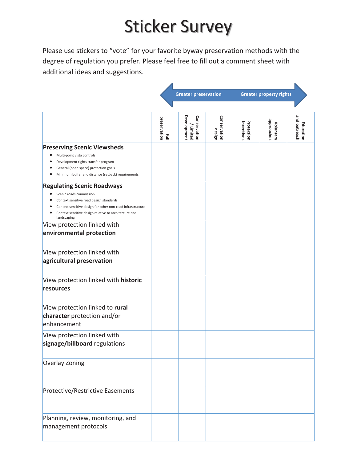### Sticker Survey

Please use stickers to "vote" for your favorite byway preservation methods with the degree of regulation you prefer. Please feel free to fill out a comment sheet with additional ideas and suggestions.

|                                                                                                                                                                                                             |                                              | <b>Greater preservation</b>                    |                        | <b>Greater property rights</b> |                         |                           |
|-------------------------------------------------------------------------------------------------------------------------------------------------------------------------------------------------------------|----------------------------------------------|------------------------------------------------|------------------------|--------------------------------|-------------------------|---------------------------|
|                                                                                                                                                                                                             |                                              |                                                |                        |                                |                         |                           |
|                                                                                                                                                                                                             | preservation<br>$\vec{\underline{\epsilon}}$ | <b>Development</b><br>Conservation<br>/Limited | Conservation<br>design | Protection<br>incentives       | approaches<br>Voluntary | and outreach<br>Education |
| <b>Preserving Scenic Viewsheds</b><br>Multi-point vista controls<br>٠<br>Development rights transfer program<br>General (open space) protection goals<br>Minimum buffer and distance (setback) requirements |                                              |                                                |                        |                                |                         |                           |
| <b>Regulating Scenic Roadways</b>                                                                                                                                                                           |                                              |                                                |                        |                                |                         |                           |
| Scenic roads commission<br>Context sensitive road design standards<br>Context sensitive design for other non-road infrastructure<br>Context sensitive design relative to architecture and<br>landscaping    |                                              |                                                |                        |                                |                         |                           |
| View protection linked with<br>environmental protection                                                                                                                                                     |                                              |                                                |                        |                                |                         |                           |
| View protection linked with<br>agricultural preservation                                                                                                                                                    |                                              |                                                |                        |                                |                         |                           |
| View protection linked with historic<br>resources                                                                                                                                                           |                                              |                                                |                        |                                |                         |                           |
| View protection linked to rural<br>character protection and/or<br>enhancement                                                                                                                               |                                              |                                                |                        |                                |                         |                           |
| View protection linked with<br>signage/billboard regulations                                                                                                                                                |                                              |                                                |                        |                                |                         |                           |
| Overlay Zoning                                                                                                                                                                                              |                                              |                                                |                        |                                |                         |                           |
| <b>Protective/Restrictive Easements</b>                                                                                                                                                                     |                                              |                                                |                        |                                |                         |                           |
| Planning, review, monitoring, and<br>management protocols                                                                                                                                                   |                                              |                                                |                        |                                |                         |                           |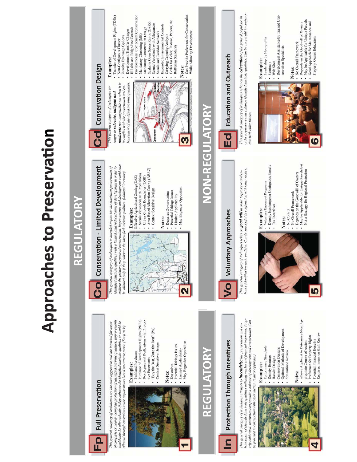# **Approaches to Preservation**

# REGULATORY

Conservation - Limited Development

## Full Preservation Ep

of complete or nearly complete protection of identified intrinsic qualities. Improvements would only be allowed only if they enhance the identified intrinsic qualities or would be This general category of techniques are the most aggressive and are intended for areas allowed through exceptions to the requirements based on extreme merit. (Keep as is)

## **Examples:**

- · Parkland Purchases
- Purchase of Development Rights (PDRs)
- Developmental Dedications with Protec-
	- "Buy the Best, Zone the Rest" (PA) tive Easements
		- · Context Sensitive Design
- Notes:
- **Expensive**<br>• Potential Takings Issues<br>• Limited Applicability
- May Engender Opposition

**NE** 

• May Engender Opposition

- Potential Takings Issues • Requires Down-zoning

Notes:

• Limited Applicability

# REGULATORY

# Protection Through Incentives  $\mathbf{a}$

This general category of techniques attempts to **incentivize** the preservation and en-<br>hancement of identified intrinsic qualities utilizing market and financial incentives. Properly calibrated, incentives can provide a balance of development and conservation. Can be provided in conjunction with other tactics. (Carrot approach)

- 
- Allows Applicant to Determine Most Ap-
- Preference for Property Rights
- · Requires Intensive Staff Review

# **ID**

- -
- No Overall Framework
- 
- Not a Strategy for Regional Protection

## **Education and Outreach NON-REGULATORY**  $\overline{a}$

This general eategory of techniques relies on the **education** of the general populaee in<br>order to preserve and enhance identified intrinsic qualities. Can be successful in conjunction with other tactics.



## - Leadership by Non-profits • Seminars<br>• Web Sites

- 
- Development Assistance by Trained Conservation Specialists

## Notes:

- No Overall Framework<br>- Depends on the Goodwill of Owners<br>- May be Applicable for Unique Parcels
- Good Approach for Maintenance and









This general category of techniques relies on **good will** in order to preserve and en-<br>hance identified intrinsic qualities. Can be successful in conjunction with other tactics.

# Examples:

- Voluntary Easement Programs<br>- Density Exchange on Contiguous Parcels
- -
	- Tax Incentives
		-
- Notes:
	-
- No Control
- Depends on the Goodwill of Owners
- May be Applicable for Unique Parcels but
- 
- Property Owner Education



• Area Based Allocation Zoning (ABAZ)

• Context Sensitive Design

Effective Agricultural Zoning (EAZ)<br>• Scenic Viewsheds with Prohibitions • Urban Growth Boundaries (UGB)



## Examples: Cd Conservation Design

- Transfer of Development Rights (TDRs) - Density Exchange Options • Non-Contiguous Cluster moderate non-compatible use when it is in conflict with the preservation and enhis general category of techniques attempts to relocate, mitigate and

achieve the primary purpose of conservation. Improvements and development would only

be allowed only if they enhance the identified intrinsic qualities. (Minimal Intrusion)

Examples:

This general category of techniques is intended to provide the maximum preservation of<br>identified intrinsic qualities with a limited, and reduced level of development in order to

- · Environmental Component Conservation · Scalable Open Space Ratios (OSRs) • Hillside and Ridge-line Controls • Mandatory Conservation Design - Development Transfer Charges • Mandatory Clustering (ME)
	- etc. · Scenic Viewsheds with Allowances · Expanded Environmental Controls • Codes for Color, Texture, Pattern, - Scenic and Corridor Setbacks • Carrying Capacity Analysis · Buffering Standards Notes:

• Can Provide Preference for Conservation

While Allowing Development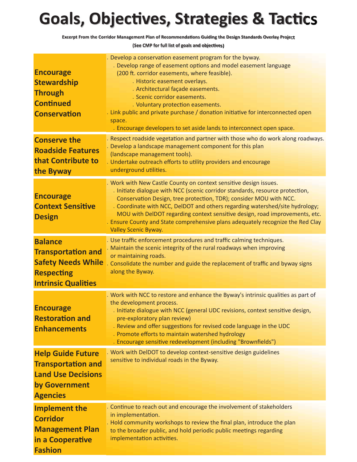#### **Goals, Objectives, Strategies & Tactics**

Excerpt From the Corridor Management Plan of Recommendations Guiding the Design Standards Overlay Project

(See CMP for full list of goals and objectives)

| <b>Encourage</b><br><b>Stewardship</b><br><b>Through</b><br><b>Continued</b><br><b>Conservation</b>                         | Develop a conservation easement program for the byway.<br>. Develop range of easement options and model easement language<br>(200 ft. corridor easements, where feasible).<br>. Historic easement overlays.<br>. Architectural façade easements.<br>. Scenic corridor easements.<br>. Voluntary protection easements.<br>. Link public and private purchase / donation initiative for interconnected open<br>space.<br>. Encourage developers to set aside lands to interconnect open space.              |
|-----------------------------------------------------------------------------------------------------------------------------|-----------------------------------------------------------------------------------------------------------------------------------------------------------------------------------------------------------------------------------------------------------------------------------------------------------------------------------------------------------------------------------------------------------------------------------------------------------------------------------------------------------|
| <b>Conserve the</b><br><b>Roadside Features</b><br>that Contribute to<br>the Byway                                          | Respect roadside vegetation and partner with those who do work along roadways.<br>. Develop a landscape management component for this plan<br>(landscape management tools).<br>. Undertake outreach efforts to utility providers and encourage<br>underground utilities.                                                                                                                                                                                                                                  |
| <b>Encourage</b><br><b>Context Sensitive</b><br><b>Design</b>                                                               | . Work with New Castle County on context sensitive design issues.<br>. Initiate dialogue with NCC (scenic corridor standards, resource protection,<br>Conservation Design, tree protection, TDR); consider MOU with NCC.<br>. Coordinate with NCC, DelDOT and others regarding watershed/site hydrology;<br>MOU with DelDOT regarding context sensitive design, road improvements, etc.<br>. Ensure County and State comprehensive plans adequately recognize the Red Clay<br><b>Valley Scenic Byway.</b> |
| <b>Balance</b><br><b>Transportation and</b><br><b>Safety Needs While</b><br><b>Respecting</b><br><b>Intrinsic Qualities</b> | . Use traffic enforcement procedures and traffic calming techniques.<br>. Maintain the scenic integrity of the rural roadways when improving<br>or maintaining roads.<br>Consolidate the number and guide the replacement of traffic and byway signs<br>along the Byway.                                                                                                                                                                                                                                  |
| <b>Encourage</b><br><b>Restoration and</b><br><b>Enhancements</b>                                                           | . Work with NCC to restore and enhance the Byway's intrinsic qualities as part of<br>the development process.<br>. Initiate dialogue with NCC (general UDC revisions, context sensitive design,<br>pre-exploratory plan review)<br>. Review and offer suggestions for revised code language in the UDC<br>. Promote efforts to maintain watershed hydrology<br>. Encourage sensitive redevelopment (including "Brownfields")                                                                              |
| <b>Help Guide Future</b><br><b>Transportation and</b><br><b>Land Use Decisions</b><br>by Government<br><b>Agencies</b>      | . Work with DelDOT to develop context-sensitive design guidelines<br>sensitive to individual roads in the Byway.                                                                                                                                                                                                                                                                                                                                                                                          |
| <b>Implement the</b><br><b>Corridor</b><br><b>Management Plan</b><br>in a Cooperative<br><b>Fashion</b>                     | . Continue to reach out and encourage the involvement of stakeholders<br>in implementation.<br>. Hold community workshops to review the final plan, introduce the plan<br>to the broader public, and hold periodic public meetings regarding<br>implementation activities.                                                                                                                                                                                                                                |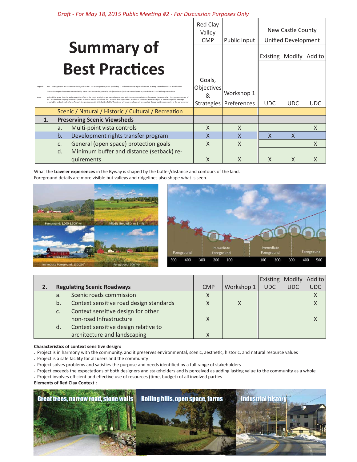Draft - For May 18, 2015 Public Meeting #2 - For Discussion Purposes Only  $R = 10^{10}$ 

|                                                                                                                                                                                          |    |    | Red Clay<br>Valley                                                                                                                                                                                                                                                                                                                                      |                           | New Castle County |                 |                            |        |
|------------------------------------------------------------------------------------------------------------------------------------------------------------------------------------------|----|----|---------------------------------------------------------------------------------------------------------------------------------------------------------------------------------------------------------------------------------------------------------------------------------------------------------------------------------------------------------|---------------------------|-------------------|-----------------|----------------------------|--------|
|                                                                                                                                                                                          |    |    |                                                                                                                                                                                                                                                                                                                                                         | <b>CMP</b>                | Public Input      |                 | <b>Unified Development</b> |        |
|                                                                                                                                                                                          |    |    | <b>Summary of</b>                                                                                                                                                                                                                                                                                                                                       |                           |                   | <b>Existing</b> | Modify                     | Add to |
|                                                                                                                                                                                          |    |    | <b>Best Practices</b>                                                                                                                                                                                                                                                                                                                                   |                           |                   |                 |                            |        |
|                                                                                                                                                                                          |    |    |                                                                                                                                                                                                                                                                                                                                                         | Goals,                    |                   |                 |                            |        |
|                                                                                                                                                                                          |    |    | Blue - Strategies that are recommended by either the CMP or the general public (workshop 1) and are currently a part of the UDC but requires refinement or modification.<br>Green - Strategies that are recommended by either the CMP or the general public (workshop 1) and are currently NOT a part of the UDC and will require addition.             | Objectives                |                   |                 |                            |        |
| It should be noted that the preferences identified at the Public Workshop are generally consistent with the recommendations of the CMP, despite the fact that implementation of<br>Note: |    | &  | Workshop 1                                                                                                                                                                                                                                                                                                                                              |                           |                   |                 |                            |        |
|                                                                                                                                                                                          |    |    | the CMP has been ongoing for several years. It should also be noted that the CMP was developed over a number of years and was the subject of numerous public meetings,<br>roundtables and outreach efforts. As such, the preferences identified at the Public Workshop, while current, have not been vetted throughout the community in the same manner | <b>Strategies</b>         | Preferences       | <b>UDC</b>      | <b>UDC</b>                 | UDC.   |
|                                                                                                                                                                                          |    |    | Scenic / Natural / Historic / Cultural / Recreation                                                                                                                                                                                                                                                                                                     |                           |                   |                 |                            |        |
|                                                                                                                                                                                          | 1. |    | <b>Preserving Scenic Viewsheds</b>                                                                                                                                                                                                                                                                                                                      |                           |                   |                 |                            |        |
|                                                                                                                                                                                          |    | a. | Multi-point vista controls                                                                                                                                                                                                                                                                                                                              | X                         | X                 |                 |                            | X      |
|                                                                                                                                                                                          |    | b. | Development rights transfer program                                                                                                                                                                                                                                                                                                                     | $\mathsf{x}$              | X                 | X               | X                          |        |
|                                                                                                                                                                                          |    | C. | General (open space) protection goals                                                                                                                                                                                                                                                                                                                   | $\boldsymbol{\mathsf{X}}$ | $\times$          |                 |                            | X      |
|                                                                                                                                                                                          |    | d. | Minimum buffer and distance (setback) re-                                                                                                                                                                                                                                                                                                               |                           |                   |                 |                            |        |
|                                                                                                                                                                                          |    |    | quirements                                                                                                                                                                                                                                                                                                                                              | Χ                         | X                 | X               | Χ                          |        |

What the traveler experiences in the Byway is shaped by the buffer/distance and contours of the land. Foreground details are more visible but valleys and ridgelines also shape what is seen.





Τ

|    |                                         |            |            | Existing   Modify |            | Add to     |
|----|-----------------------------------------|------------|------------|-------------------|------------|------------|
|    | <b>Regulating Scenic Roadways</b>       | <b>CMP</b> | Workshop 1 | <b>UDC</b>        | <b>UDC</b> | <b>UDC</b> |
| a. | Scenic roads commission                 | Χ          |            |                   |            |            |
| b. | Context sensitive road design standards |            | Χ          |                   |            |            |
| c. | Context sensitive design for other      |            |            |                   |            |            |
|    | non-road Infrastructure                 | x          |            |                   |            |            |
| d. | Context sensitive design relative to    |            |            |                   |            |            |
|    | architecture and landscaping            |            |            |                   |            |            |

#### Characteristics of context sensitive design:

- . Project is in harmony with the community, and it preserves environmental, scenic, aesthetic, historic, and natural resource values
- . Project is a safe facility for all users and the community
- . Project solves problems and satisfies the purpose and needs identified by a full range of stakeholders
- . Project exceeds the expectations of both designers and stakeholders and is perceived as adding lasting value to the community as a whole
- . Project involves efficient and effective use of resources (time, budget) of all involved parties

**Elements of Red Clay Context:** 

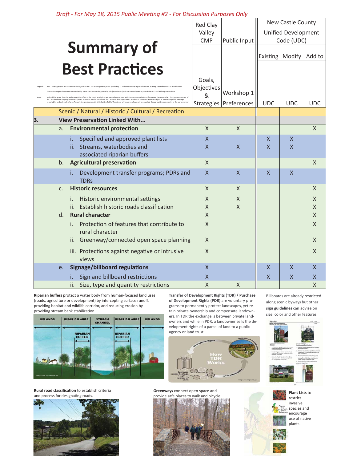Draft - For May 18, 2015 Public Meeting #2 - For Discussion Purposes Only

|    |         |                                                                                                                                                                                                                                                                                                                                                                                                                                                                                                                      | Red Clay                  |                | New Castle County          |                   |              |  |
|----|---------|----------------------------------------------------------------------------------------------------------------------------------------------------------------------------------------------------------------------------------------------------------------------------------------------------------------------------------------------------------------------------------------------------------------------------------------------------------------------------------------------------------------------|---------------------------|----------------|----------------------------|-------------------|--------------|--|
|    |         |                                                                                                                                                                                                                                                                                                                                                                                                                                                                                                                      | Valley                    |                | <b>Unified Development</b> |                   |              |  |
|    |         |                                                                                                                                                                                                                                                                                                                                                                                                                                                                                                                      | <b>CMP</b>                | Public Input   |                            | Code (UDC)        |              |  |
|    |         | <b>Summary of</b>                                                                                                                                                                                                                                                                                                                                                                                                                                                                                                    |                           |                |                            | Existing   Modify | Add to       |  |
|    |         | <b>Best Practices</b>                                                                                                                                                                                                                                                                                                                                                                                                                                                                                                |                           |                |                            |                   |              |  |
|    |         |                                                                                                                                                                                                                                                                                                                                                                                                                                                                                                                      | Goals,                    |                |                            |                   |              |  |
|    |         | Strategies that are recommended by either the CMP or the general public (workshop 1) and are currently a part of the UDC but requires refinement or modification                                                                                                                                                                                                                                                                                                                                                     | Objectives                |                |                            |                   |              |  |
|    |         | - Strategies that are recommended by either the CMP or the general public (workshop 1) and are currently NOT a part of the UDC and will require addition<br>It should be noted that the preferences identified at the Public Workshop are generally consistent with the recommendations of the CMP, despite the fact that implementation o<br>the CMP has been ongoing for several years. It should also be noted that the CMP was developed over a number of years and was the subject of numerous public meetings, | &                         | Workshop 1     |                            |                   |              |  |
|    |         | roundtables and outreach efforts. As such, the preferences identified at the Public Workshop, while current, have not been vetted throughout the community in the sam                                                                                                                                                                                                                                                                                                                                                | Strategies                | Preferences    | <b>UDC</b>                 | <b>UDC</b>        | <b>UDC</b>   |  |
| 3. |         | Scenic / Natural / Historic / Cultural / Recreation<br><b>View Preservation Linked With</b>                                                                                                                                                                                                                                                                                                                                                                                                                          |                           |                |                            |                   |              |  |
|    | a.      | <b>Environmental protection</b>                                                                                                                                                                                                                                                                                                                                                                                                                                                                                      | $\mathsf{X}$              | $\times$       |                            |                   | $\times$     |  |
|    |         | Specified and approved plant lists<br>i.                                                                                                                                                                                                                                                                                                                                                                                                                                                                             | $\sf X$                   |                | X                          | X                 |              |  |
|    |         | Streams, waterbodies and<br>ii.                                                                                                                                                                                                                                                                                                                                                                                                                                                                                      | $\boldsymbol{\mathsf{X}}$ | X              | $\mathsf{X}$               | $\sf X$           |              |  |
|    |         | associated riparian buffers                                                                                                                                                                                                                                                                                                                                                                                                                                                                                          |                           |                |                            |                   |              |  |
|    | b.      | <b>Agricultural preservation</b>                                                                                                                                                                                                                                                                                                                                                                                                                                                                                     | $\mathsf{X}$              |                |                            |                   | $\mathsf{X}$ |  |
|    |         | Development transfer programs; PDRs and<br>i.<br><b>TDRs</b>                                                                                                                                                                                                                                                                                                                                                                                                                                                         | $\mathsf{X}$              | $\mathsf{X}$   | X                          | $\mathsf{X}$      |              |  |
|    | C.      | <b>Historic resources</b>                                                                                                                                                                                                                                                                                                                                                                                                                                                                                            | $\mathsf{X}$              | $\times$       |                            |                   | $\times$     |  |
|    |         | Historic environmental settings<br>i.                                                                                                                                                                                                                                                                                                                                                                                                                                                                                | X                         | X              |                            |                   | X            |  |
|    |         | Establish historic roads classification<br>$\mathbf{ii}$ .                                                                                                                                                                                                                                                                                                                                                                                                                                                           | $\mathsf{X}$              | $\overline{X}$ |                            |                   | $\sf X$      |  |
|    | $d_{-}$ | <b>Rural character</b><br>Protection of features that contribute to                                                                                                                                                                                                                                                                                                                                                                                                                                                  | $\mathsf{X}$              |                |                            |                   | $\sf X$      |  |
|    |         | i.<br>rural character                                                                                                                                                                                                                                                                                                                                                                                                                                                                                                | $\times$                  |                |                            |                   | X            |  |
|    |         | ii. Greenway/connected open space planning                                                                                                                                                                                                                                                                                                                                                                                                                                                                           | $\mathsf{X}$              |                |                            |                   | X            |  |
|    |         | iii. Protections against negative or intrusive<br>views                                                                                                                                                                                                                                                                                                                                                                                                                                                              | $\mathsf{X}$              |                |                            |                   | X            |  |
|    | e.      | <b>Signage/billboard regulations</b>                                                                                                                                                                                                                                                                                                                                                                                                                                                                                 | $\mathsf{X}$              |                | $\mathsf{X}$               | $\mathsf{X}$      | $\mathsf{X}$ |  |
|    |         | Sign and billboard restrictions                                                                                                                                                                                                                                                                                                                                                                                                                                                                                      | X                         |                | X                          | X                 | X            |  |
|    |         | ii. Size, type and quantity restrictions                                                                                                                                                                                                                                                                                                                                                                                                                                                                             | X                         | X              |                            |                   | X            |  |

Riparian buffers protect a water body from human-focused land uses (roads, agriculture or development) by intercepting surface runoff, providing habitat and wildlife corridor, and reducing erosion by providing stream bank stabilization.



Rural road classification to establish criteria and process for designating roads.



Transfer of Development Rights (TDR) / Purchase of Development Rights (PDR) are voluntary programs to permanently protect landscapes, yet retain private ownership and compensate landowners. In TDR the exchange is between private landowners and while in PDR, a landowner sells the development rights of a parcel of land to a public



Greenways connect open space and



Billboards are already restricted along scenic byways but other sign guidelines can advise on size, color and other features.





**Plant Lists to** restrict invasive الله species and encourage use of native plants.